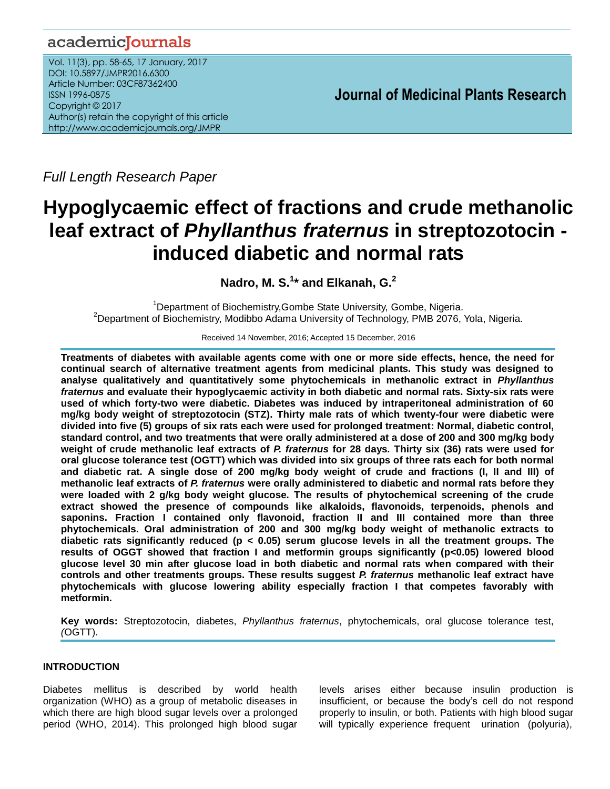# academicJournals

Vol. 11(3), pp. 58-65, 17 January, 2017 DOI: 10.5897/JMPR2016.6300 Article Number: 03CF87362400 ISSN 1996-0875 Copyright © 2017 Author(s) retain the copyright of this article http://www.academicjournals.org/JMPR

 **Journal of Medicinal Plants Research**

*Full Length Research Paper*

# **Hypoglycaemic effect of fractions and crude methanolic leaf extract of** *Phyllanthus fraternus* **in streptozotocin induced diabetic and normal rats**

**Nadro, M. S.<sup>1</sup> \* and Elkanah, G.<sup>2</sup>**

<sup>1</sup>Department of Biochemistry, Gombe State University, Gombe, Nigeria. <sup>2</sup>Department of Biochemistry, Modibbo Adama University of Technology, PMB 2076, Yola, Nigeria.

Received 14 November, 2016; Accepted 15 December, 2016

**Treatments of diabetes with available agents come with one or more side effects, hence, the need for continual search of alternative treatment agents from medicinal plants. This study was designed to analyse qualitatively and quantitatively some phytochemicals in methanolic extract in** *Phyllanthus fraternus* **and evaluate their hypoglycaemic activity in both diabetic and normal rats. Sixty-six rats were used of which forty-two were diabetic. Diabetes was induced by intraperitoneal administration of 60 mg/kg body weight of streptozotocin (STZ). Thirty male rats of which twenty-four were diabetic were divided into five (5) groups of six rats each were used for prolonged treatment: Normal, diabetic control, standard control, and two treatments that were orally administered at a dose of 200 and 300 mg/kg body weight of crude methanolic leaf extracts of** *P. fraternus* **for 28 days***.* **Thirty six (36) rats were used for oral glucose tolerance test (OGTT) which was divided into six groups of three rats each for both normal and diabetic rat. A single dose of 200 mg/kg body weight of crude and fractions (I, II and III) of methanolic leaf extracts of** *P. fraternus* **were orally administered to diabetic and normal rats before they were loaded with 2 g/kg body weight glucose. The results of phytochemical screening of the crude extract showed the presence of compounds like alkaloids, flavonoids, terpenoids, phenols and saponins. Fraction I contained only flavonoid, fraction II and III contained more than three phytochemicals. Oral administration of 200 and 300 mg/kg body weight of methanolic extracts to diabetic rats significantly reduced (p < 0.05) serum glucose levels in all the treatment groups. The results of OGGT showed that fraction I and metformin groups significantly (p<0.05) lowered blood glucose level 30 min after glucose load in both diabetic and normal rats when compared with their controls and other treatments groups. These results suggest** *P. fraternus* **methanolic leaf extract have phytochemicals with glucose lowering ability especially fraction I that competes favorably with metformin.** 

**Key words:** Streptozotocin, diabetes, *Phyllanthus fraternus*, phytochemicals, oral glucose tolerance test, *(*OGTT).

# **INTRODUCTION**

Diabetes mellitus is described by world health organization (WHO) as a group of metabolic diseases in which there are high blood sugar levels over a prolonged period (WHO, 2014). This prolonged high blood sugar

levels arises either because insulin production is insufficient, or because the body's cell do not respond properly to insulin, or both. Patients with high blood sugar will typically experience frequent urination (polyuria),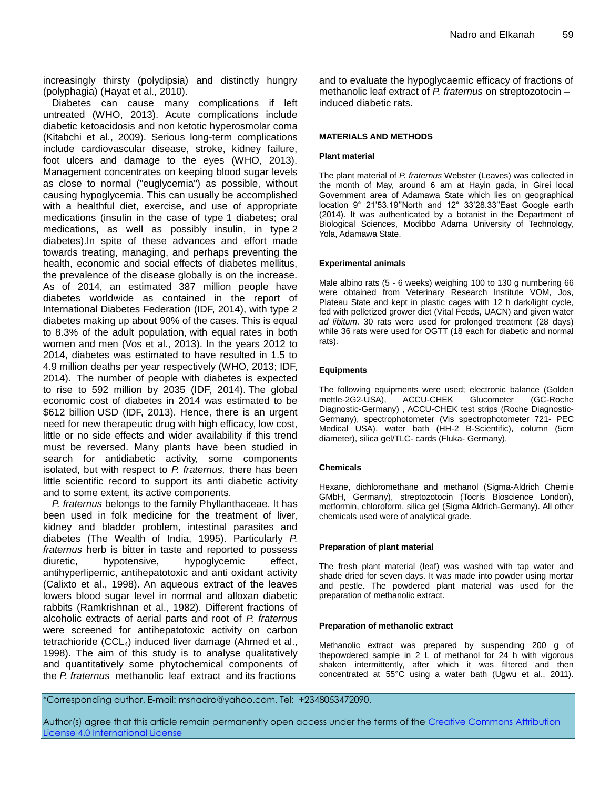increasingly thirsty (polydipsia) and distinctly hungry (polyphagia) (Hayat et al., 2010).

Diabetes can cause many complications if left untreated (WHO, 2013). Acute complications include diabetic ketoacidosis and non ketotic hyperosmolar coma (Kitabchi et al., 2009). Serious long-term complications include cardiovascular disease, stroke, kidney failure, foot ulcers and damage to the eyes (WHO, 2013). Management concentrates on keeping blood sugar levels as close to normal ("euglycemia") as possible, without causing hypoglycemia. This can usually be accomplished with a healthful diet, exercise, and use of appropriate medications (insulin in the case of type 1 diabetes; oral medications, as well as possibly insulin, in type 2 diabetes).In spite of these advances and effort made towards treating, managing, and perhaps preventing the health, economic and social effects of diabetes mellitus, the prevalence of the disease globally is on the increase. As of 2014, an estimated 387 million people have diabetes worldwide as contained in the report of International Diabetes Federation (IDF, 2014), with type 2 diabetes making up about 90% of the cases. This is equal to 8.3% of the adult population, with equal rates in both women and men (Vos et al., 2013). In the years 2012 to 2014, diabetes was estimated to have resulted in 1.5 to 4.9 million deaths per year respectively (WHO, 2013; IDF, 2014). The number of people with diabetes is expected to rise to 592 million by 2035 (IDF, 2014). The global economic cost of diabetes in 2014 was estimated to be \$612 billion [USD](http://en.wikipedia.org/wiki/USD) (IDF, 2013). Hence, there is an urgent need for new therapeutic drug with high efficacy, low cost, little or no side effects and wider availability if this trend must be reversed. Many plants have been studied in search for antidiabetic activity, some components isolated, but with respect to *P. fraternus,* there has been little scientific record to support its anti diabetic activity and to some extent, its active components.

*P. fraternus* belongs to the family Phyllanthaceae. It has been used in folk medicine for the treatment of liver, kidney and bladder problem, intestinal parasites and diabetes (The Wealth of India, 1995). Particularly *P. fraternus* herb is bitter in taste and reported to possess diuretic, hypotensive, hypoglycemic effect, antihyperlipemic, antihepatotoxic and anti oxidant activity (Calixto et al., 1998). An aqueous extract of the leaves lowers blood sugar level in normal and alloxan diabetic rabbits (Ramkrishnan et al., 1982). Different fractions of alcoholic extracts of aerial parts and root of *P. fraternus* were screened for antihepatotoxic activity on carbon tetrachioride (CCL4) induced liver damage (Ahmed et al., 1998). The aim of this study is to analyse qualitatively and quantitatively some phytochemical components of the *P. fraternus* methanolic leaf extract and its fractions

and to evaluate the hypoglycaemic efficacy of fractions of methanolic leaf extract of *P. fraternus* on streptozotocin – induced diabetic rats.

#### **MATERIALS AND METHODS**

#### **Plant material**

The plant material of *P. fraternus* Webster (Leaves) was collected in the month of May, around 6 am at Hayin gada, in Girei local Government area of Adamawa State which lies on geographical location 9° 21'53.19''North and 12° 33'28.33''East Google earth (2014). It was authenticated by a botanist in the Department of Biological Sciences, Modibbo Adama University of Technology, Yola, Adamawa State.

#### **Experimental animals**

Male albino rats (5 - 6 weeks) weighing 100 to 130 g numbering 66 were obtained from Veterinary Research Institute VOM, Jos, Plateau State and kept in plastic cages with 12 h dark/light cycle, fed with pelletized grower diet (Vital Feeds, UACN) and given water *ad libitum*. 30 rats were used for prolonged treatment (28 days) while 36 rats were used for OGTT (18 each for diabetic and normal rats).

#### **Equipments**

The following equipments were used; electronic balance (Golden mettle-2G2-USA), ACCU-CHEK Glucometer (GC-Roche Diagnostic-Germany) , ACCU-CHEK test strips (Roche Diagnostic-Germany), spectrophotometer (Vis spectrophotometer 721- PEC Medical USA), water bath (HH-2 B-Scientific), column (5cm diameter), silica gel/TLC- cards (Fluka- Germany).

#### **Chemicals**

Hexane, dichloromethane and methanol (Sigma-Aldrich Chemie GMbH, Germany), streptozotocin (Tocris Bioscience London), metformin, chloroform, silica gel (Sigma Aldrich-Germany). All other chemicals used were of analytical grade.

#### **Preparation of plant material**

The fresh plant material (leaf) was washed with tap water and shade dried for seven days. It was made into powder using mortar and pestle. The powdered plant material was used for the preparation of methanolic extract.

#### **Preparation of methanolic extract**

Methanolic extract was prepared by suspending 200 g of thepowdered sample in 2 L of methanol for 24 h with vigorous shaken intermittently, after which it was filtered and then concentrated at 55°C using a water bath (Ugwu et al., 2011).

\*Corresponding author. E-mail: msnadro@yahoo.com. Tel: +2348053472090.

Author(s) agree that this article remain permanently open access under the terms of the [Creative Commons Attribution](http://creativecommons.org/licenses/by/4.0/deed.en_US) [License 4.0 International License](http://creativecommons.org/licenses/by/4.0/deed.en_US)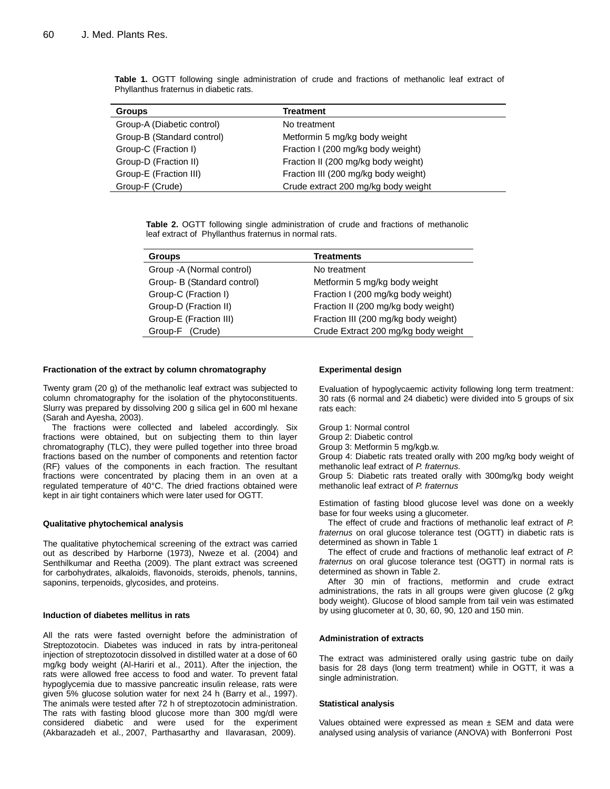| <b>Groups</b>              | Treatment                            |
|----------------------------|--------------------------------------|
| Group-A (Diabetic control) | No treatment                         |
|                            |                                      |
| Group-B (Standard control) | Metformin 5 mg/kg body weight        |
| Group-C (Fraction I)       | Fraction I (200 mg/kg body weight)   |
| Group-D (Fraction II)      | Fraction II (200 mg/kg body weight)  |
| Group-E (Fraction III)     | Fraction III (200 mg/kg body weight) |
| Group-F (Crude)            | Crude extract 200 mg/kg body weight  |

**Table 1.** OGTT following single administration of crude and fractions of methanolic leaf extract of Phyllanthus fraternus in diabetic rats.

**Table 2.** OGTT following single administration of crude and fractions of methanolic leaf extract of Phyllanthus fraternus in normal rats.

| <b>Groups</b>               | <b>Treatments</b>                    |
|-----------------------------|--------------------------------------|
| Group - A (Normal control)  | No treatment                         |
| Group- B (Standard control) | Metformin 5 mg/kg body weight        |
| Group-C (Fraction I)        | Fraction I (200 mg/kg body weight)   |
| Group-D (Fraction II)       | Fraction II (200 mg/kg body weight)  |
| Group-E (Fraction III)      | Fraction III (200 mg/kg body weight) |
| Group-F (Crude)             | Crude Extract 200 mg/kg body weight  |

#### **Fractionation of the extract by column chromatography**

Twenty gram (20 g) of the methanolic leaf extract was subjected to column chromatography for the isolation of the phytoconstituents. Slurry was prepared by dissolving 200 g silica gel in 600 ml hexane (Sarah and Ayesha, 2003).

The fractions were collected and labeled accordingly. Six fractions were obtained, but on subjecting them to thin layer chromatography (TLC), they were pulled together into three broad fractions based on the number of components and retention factor (RF) values of the components in each fraction. The resultant fractions were concentrated by placing them in an oven at a regulated temperature of 40°C. The dried fractions obtained were kept in air tight containers which were later used for OGTT.

#### **Qualitative phytochemical analysis**

The qualitative phytochemical screening of the extract was carried out as described by Harborne (1973), Nweze et al. (2004) and Senthilkumar and Reetha (2009). The plant extract was screened for carbohydrates, alkaloids, flavonoids, steroids, phenols, tannins, saponins, terpenoids, glycosides, and proteins.

#### **Induction of diabetes mellitus in rats**

All the rats were fasted overnight before the administration of Streptozotocin. Diabetes was induced in rats by intra-peritoneal injection of streptozotocin dissolved in distilled water at a dose of 60 mg/kg body weight (Al-Hariri et al., 2011). After the injection, the rats were allowed free access to food and water. To prevent fatal hypoglycemia due to massive pancreatic insulin release, rats were given 5% glucose solution water for next 24 h (Barry et al., 1997). The animals were tested after 72 h of streptozotocin administration. The rats with fasting blood glucose more than 300 mg/dl were considered diabetic and were used for the experiment (Akbarazadeh et al., 2007, Parthasarthy and Ilavarasan, 2009).

#### **Experimental design**

Evaluation of hypoglycaemic activity following long term treatment: 30 rats (6 normal and 24 diabetic) were divided into 5 groups of six rats each:

Group 1: Normal control

Group 2: Diabetic control

Group 3: Metformin 5 mg/kgb.w.

Group 4: Diabetic rats treated orally with 200 mg/kg body weight of methanolic leaf extract of *P. fraternus.*

Group 5: Diabetic rats treated orally with 300mg/kg body weight methanolic leaf extract of *P. fraternus*

Estimation of fasting blood glucose level was done on a weekly base for four weeks using a glucometer.

The effect of crude and fractions of methanolic leaf extract of *P. fraternus* on oral glucose tolerance test (OGTT) in diabetic rats is determined as shown in Table 1

The effect of crude and fractions of methanolic leaf extract of *P. fraternus* on oral glucose tolerance test (OGTT) in normal rats is determined as shown in Table 2.

After 30 min of fractions, metformin and crude extract administrations, the rats in all groups were given glucose (2 g/kg body weight). Glucose of blood sample from tail vein was estimated by using glucometer at 0, 30, 60, 90, 120 and 150 min.

#### **Administration of extracts**

The extract was administered orally using gastric tube on daily basis for 28 days (long term treatment) while in OGTT, it was a single administration.

#### **Statistical analysis**

Values obtained were expressed as mean  $\pm$  SEM and data were analysed using analysis of variance (ANOVA) with Bonferroni Post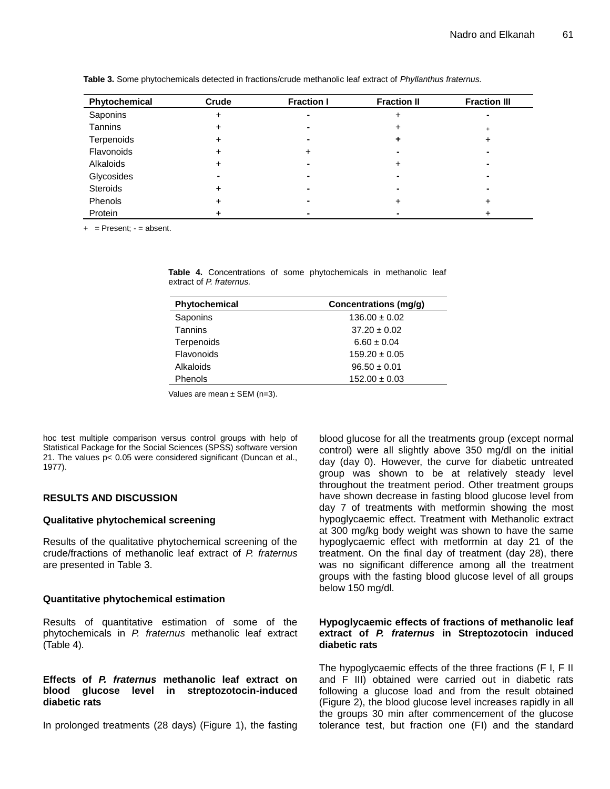| Phytochemical | Crude | <b>Fraction I</b> | <b>Fraction II</b> | <b>Fraction III</b> |
|---------------|-------|-------------------|--------------------|---------------------|
| Saponins      |       |                   |                    |                     |
| Tannins       |       |                   | ٠                  | $\ddot{}$           |
| Terpenoids    |       |                   |                    |                     |
| Flavonoids    |       |                   | -                  |                     |
| Alkaloids     |       |                   | ÷                  |                     |
| Glycosides    |       |                   |                    | -                   |
| Steroids      |       |                   | -                  |                     |
| Phenols       | ┱     |                   | ٠                  |                     |
| Protein       |       |                   |                    |                     |

**Table 3.** Some phytochemicals detected in fractions/crude methanolic leaf extract of *Phyllanthus fraternus.*

 $+$  = Present; - = absent.

**Table 4.** Concentrations of some phytochemicals in methanolic leaf extract of *P. fraternus.* 

| Phytochemical  | Concentrations (mg/g) |
|----------------|-----------------------|
| Saponins       | $136.00 \pm 0.02$     |
| <b>Tannins</b> | $37.20 \pm 0.02$      |
| Terpenoids     | $6.60 \pm 0.04$       |
| Flavonoids     | $159.20 \pm 0.05$     |
| Alkaloids      | $96.50 \pm 0.01$      |
| <b>Phenols</b> | $152.00 \pm 0.03$     |

Values are mean  $\pm$  SEM (n=3).

hoc test multiple comparison versus control groups with help of Statistical Package for the Social Sciences (SPSS) software version 21. The values p< 0.05 were considered significant (Duncan et al., 1977).

# **RESULTS AND DISCUSSION**

# **Qualitative phytochemical screening**

Results of the qualitative phytochemical screening of the crude/fractions of methanolic leaf extract of *P. fraternus*  are presented in Table 3.

# **Quantitative phytochemical estimation**

Results of quantitative estimation of some of the phytochemicals in *P. fraternus* methanolic leaf extract (Table 4)*.*

# **Effects of** *P. fraternus* **methanolic leaf extract on blood glucose level in streptozotocin-induced diabetic rats**

In prolonged treatments (28 days) (Figure 1), the fasting

blood glucose for all the treatments group (except normal control) were all slightly above 350 mg/dl on the initial day (day 0). However, the curve for diabetic untreated group was shown to be at relatively steady level throughout the treatment period. Other treatment groups have shown decrease in fasting blood glucose level from day 7 of treatments with metformin showing the most hypoglycaemic effect. Treatment with Methanolic extract at 300 mg/kg body weight was shown to have the same hypoglycaemic effect with metformin at day 21 of the treatment. On the final day of treatment (day 28), there was no significant difference among all the treatment groups with the fasting blood glucose level of all groups below 150 mg/dl.

# **Hypoglycaemic effects of fractions of methanolic leaf extract of** *P. fraternus* **in Streptozotocin induced diabetic rats**

The hypoglycaemic effects of the three fractions (F I, F II and F III) obtained were carried out in diabetic rats following a glucose load and from the result obtained (Figure 2), the blood glucose level increases rapidly in all the groups 30 min after commencement of the glucose tolerance test, but fraction one (FI) and the standard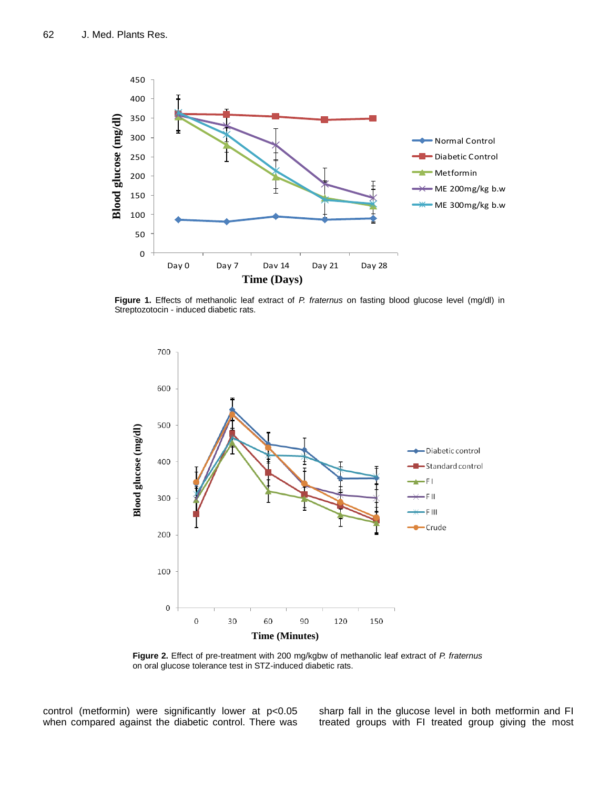

**Figure 1.** Effects of methanolic leaf extract of *P. fraternus* on fasting blood glucose level (mg/dl) in Streptozotocin - induced diabetic rats.



**Figure 2.** Effect of pre-treatment with 200 mg/kgbw of methanolic leaf extract of *P. fraternus*  on oral glucose tolerance test in STZ-induced diabetic rats.

control (metformin) were significantly lower at p<0.05 when compared against the diabetic control. There was

sharp fall in the glucose level in both metformin and FI treated groups with FI treated group giving the most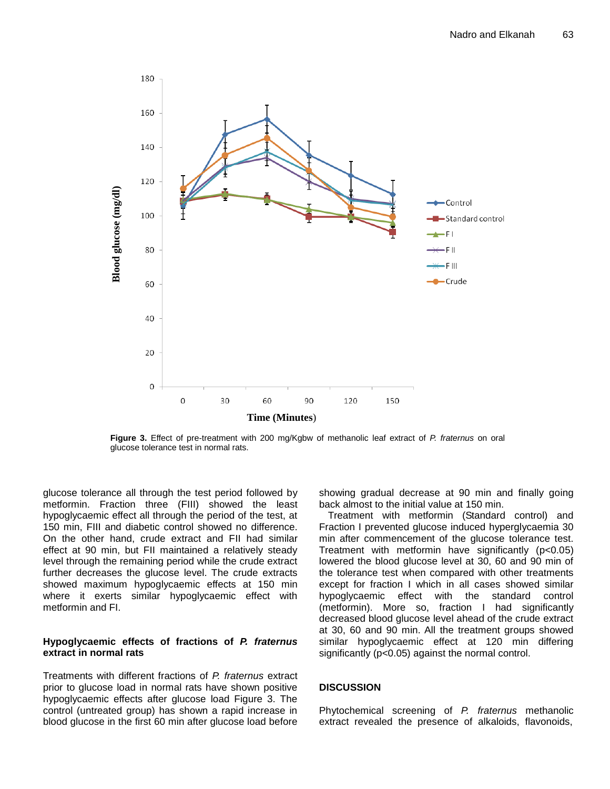

**Figure 3.** Effect of pre-treatment with 200 mg/Kgbw of methanolic leaf extract of *P. fraternus* on oral glucose tolerance test in normal rats.

glucose tolerance all through the test period followed by metformin. Fraction three (FIII) showed the least hypoglycaemic effect all through the period of the test, at 150 min, FIII and diabetic control showed no difference. On the other hand, crude extract and FII had similar effect at 90 min, but FII maintained a relatively steady level through the remaining period while the crude extract further decreases the glucose level. The crude extracts showed maximum hypoglycaemic effects at 150 min where it exerts similar hypoglycaemic effect with metformin and FI.

# **Hypoglycaemic effects of fractions of** *P. fraternus*  **extract in normal rats**

Treatments with different fractions of *P. fraternus* extract prior to glucose load in normal rats have shown positive hypoglycaemic effects after glucose load Figure 3. The control (untreated group) has shown a rapid increase in blood glucose in the first 60 min after glucose load before

showing gradual decrease at 90 min and finally going back almost to the initial value at 150 min.

Treatment with metformin (Standard control) and Fraction I prevented glucose induced hyperglycaemia 30 min after commencement of the glucose tolerance test. Treatment with metformin have significantly (p<0.05) lowered the blood glucose level at 30, 60 and 90 min of the tolerance test when compared with other treatments except for fraction I which in all cases showed similar hypoglycaemic effect with the standard control (metformin). More so, fraction I had significantly decreased blood glucose level ahead of the crude extract at 30, 60 and 90 min. All the treatment groups showed similar hypoglycaemic effect at 120 min differing significantly (p<0.05) against the normal control.

# **DISCUSSION**

Phytochemical screening of *P. fraternus* methanolic extract revealed the presence of alkaloids, flavonoids,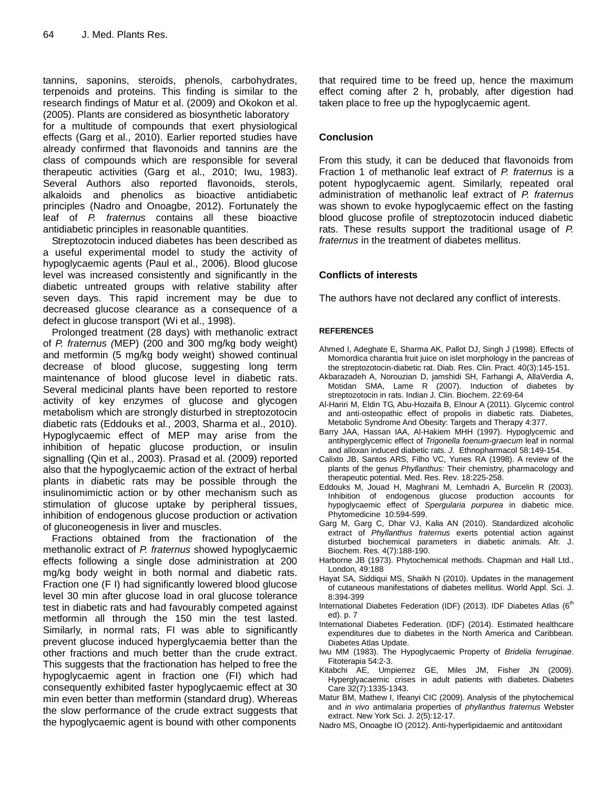tannins, saponins, steroids, phenols, carbohydrates, terpenoids and proteins. This finding is similar to the research findings of Matur et al. (2009) and Okokon et al. (2005). Plants are considered as biosynthetic laboratory

for a multitude of compounds that exert physiological effects (Garg et al., 2010). Earlier reported studies have already confirmed that flavonoids and tannins are the class of compounds which are responsible for several therapeutic activities (Garg et al., 2010; Iwu, 1983). Several Authors also reported flavonoids, sterols, alkaloids and phenolics as bioactive antidiabetic principles (Nadro and Onoagbe, 2012). Fortunately the leaf of *P. fraternus* contains all these bioactive antidiabetic principles in reasonable quantities.

Streptozotocin induced diabetes has been described as a useful experimental model to study the activity of hypoglycaemic agents (Paul et al., 2006). Blood glucose level was increased consistently and significantly in the diabetic untreated groups with relative stability after seven days. This rapid increment may be due to decreased glucose clearance as a consequence of a defect in glucose transport (Wi et al., 1998).

Prolonged treatment (28 days) with methanolic extract of *P. fraternus (*MEP) (200 and 300 mg/kg body weight) and metformin (5 mg/kg body weight) showed continual decrease of blood glucose, suggesting long term maintenance of blood glucose level in diabetic rats. Several medicinal plants have been reported to restore activity of key enzymes of glucose and glycogen metabolism which are strongly disturbed in streptozotocin diabetic rats (Eddouks et al., 2003, Sharma et al., 2010). Hypoglycaemic effect of MEP may arise from the inhibition of hepatic glucose production, or insulin signalling (Qin et al., 2003). Prasad et al. (2009) reported also that the hypoglycaemic action of the extract of herbal plants in diabetic rats may be possible through the insulinomimictic action or by other mechanism such as stimulation of glucose uptake by peripheral tissues, inhibition of endogenous glucose production or activation of gluconeogenesis in liver and muscles.

Fractions obtained from the fractionation of the methanolic extract of *P. fraternus* showed hypoglycaemic effects following a single dose administration at 200 mg/kg body weight in both normal and diabetic rats. Fraction one (F I) had significantly lowered blood glucose level 30 min after glucose load in oral glucose tolerance test in diabetic rats and had favourably competed against metformin all through the 150 min the test lasted. Similarly, in normal rats, FI was able to significantly prevent glucose induced hyperglycaemia better than the other fractions and much better than the crude extract. This suggests that the fractionation has helped to free the hypoglycaemic agent in fraction one (FI) which had consequently exhibited faster hypoglycaemic effect at 30 min even better than metformin (standard drug). Whereas the slow performance of the crude extract suggests that the hypoglycaemic agent is bound with other components

that required time to be freed up, hence the maximum effect coming after 2 h, probably, after digestion had taken place to free up the hypoglycaemic agent.

# **Conclusion**

From this study, it can be deduced that flavonoids from Fraction 1 of methanolic leaf extract of *P. fraternus* is a potent hypoglycaemic agent. Similarly, repeated oral administration of methanolic leaf extract of *P. fraternus*  was shown to evoke hypoglycaemic effect on the fasting blood glucose profile of streptozotocin induced diabetic rats. These results support the traditional usage of *P. fraternus* in the treatment of diabetes mellitus.

# **Conflicts of interests**

The authors have not declared any conflict of interests.

# **REFERENCES**

- Ahmed I, Adeghate E, Sharma AK, Pallot DJ, Singh J (1998). Effects of Momordica charantia fruit juice on islet morphology in the pancreas of the streptozotocin-diabetic rat. Diab. Res. Clin. Pract. 40(3):145-151.
- Akbarazadeh A, Norouzian D, jamshidi SH, Farhangi A, AllaVerdia A, Motidan SMA, Lame R (2007). Induction of diabetes by streptozotocin in rats. Indian J. Clin. Biochem. 22:69-64
- Al-Hariri M, Eldin TG, Abu-Hozaifa B, Elnour A (2011). Glycemic control and anti-osteopathic effect of propolis in diabetic rats. Diabetes, Metabolic Syndrome And Obesity: Targets and Therapy 4:377.
- Barry JAA, Hassan IAA, Al-Hakiem MHH (1997). Hypoglycemic and antihyperglycemic effect of *Trigonella foenum-graecum* leaf in normal and alloxan induced diabetic rats. *J.* Ethnopharmacol 58:149-154.
- Calixto JB, Santos ARS, Filho VC, Yunes RA (1998). A review of the plants of the genus *Phyllanthus:* Their chemistry, pharmacology and therapeutic potential. Med. Res. Rev*.* 18:225-258.
- Eddouks M, Jouad H, Maghrani M, Lemhadri A, Burcelin R (2003). Inhibition of endogenous glucose production accounts for hypoglycaemic effect of *Spergularia purpurea* in diabetic mice. Phytomedicine 10:594-599.
- Garg M, Garg C, Dhar VJ, Kalia AN (2010). Standardized alcoholic extract of *Phyllanthus fraternus* exerts potential action against disturbed biochemical parameters in diabetic animals. Afr. J. Biochem. Res*.* 4(7):188-190.
- Harborne JB (1973). Phytochemical methods. Chapman and Hall Ltd., London, 49:188
- Hayat SA, Siddiqui MS, Shaikh N (2010). Updates in the management of cutaneous manifestations of diabetes mellitus. World Appl. Sci. J. 8:394-399
- International Diabetes Federation (IDF) (2013). IDF Diabetes Atlas (6<sup>th</sup> ed). p. 7
- International Diabetes Federation. (IDF) (2014). Estimated healthcare expenditures due to diabetes in the North America and Caribbean. [Diabetes Atlas Update.](http://www.idf.org/diabetesatlas/update-2014)
- Iwu MM (1983). The Hypoglycaemic Property of *Bridelia ferruginae*. Fitoterapia 54:2-3.
- Kitabchi AE, Umpierrez GE, Miles JM, Fisher JN (2009). Hyperglyacaemic crises in adult patients with diabetes. Diabetes Care 32(7):1335-1343.
- Matur BM, Mathew I, Ifeanyi CIC (2009). Analysis of the phytochemical and *in vivo* antimalaria properties of *phyllanthus fraternus* Webster extract. New York Sci. J. 2(5):12-17.
- Nadro MS, Onoagbe IO (2012). Anti-hyperlipidaemic and antitoxidant